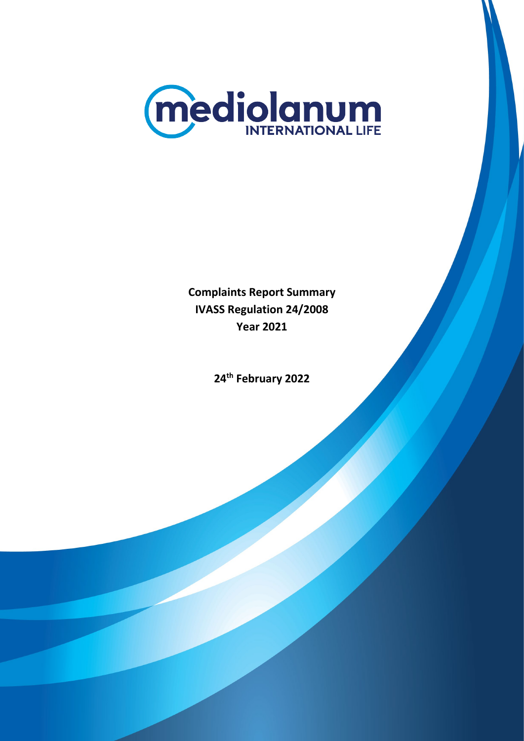

**Complaints Report Summary IVASS Regulation 24/2008 Year 2021**

**24th February 2022**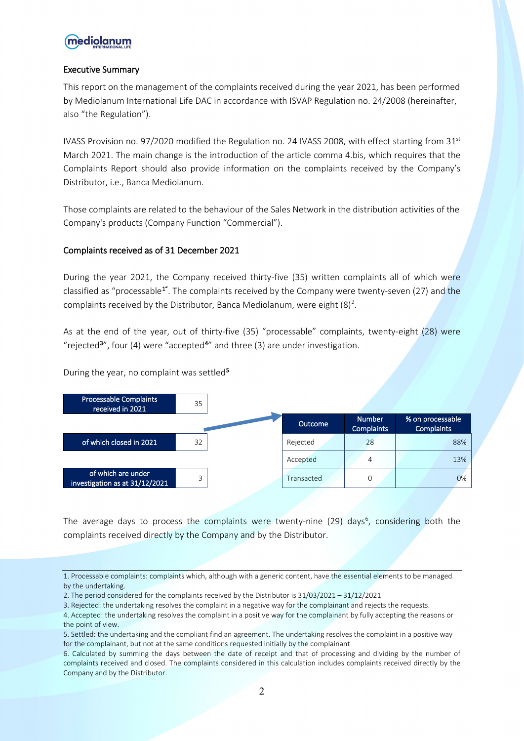## mediolanum

## Executive Summary

This report on the management of the complaints received during the year 2021, has been performed by Mediolanum International Life DAC in accordance with ISVAP Regulation no. 24/2008 (hereinafter, also "the Regulation").

IVASS Provision no. 97/2020 modified the Regulation no. 24 IVASS 2008, with effect starting from 31<sup>st</sup> March 2021. The main change is the introduction of the article comma 4.bis, which requires that the Complaints Report should also provide information on the complaints received by the Company's Distributor, i.e., Banca Mediolanum.

Those complaints are related to the behaviour of the Sales Network in the distribution activities of the Company's products (Company Function "Commercial").

## Complaints received as of 31 December 2021

During the year 2021, the Company received thirty-five (35) written complaints all of which were classified as "processable<sup>[1"](#page-1-0)</sup>. The complaints received by the Company were twenty-seven (27) and the complaints received by the Distributor, Banca Mediolanum, were eight  $(8)^2$  $(8)^2$ .

As at the end of the year, out of thirty-five (35) "processable" complaints, twenty-eight (28) were "rejected<sup>[3](#page-1-2)</sup>", four ([4](#page-1-3)) were "accepted<sup>4"</sup> and three (3) are under investigation.

During the year, no complaint was settled<sup>[5](#page-1-4).</sup>



The average days to process the complaints were twenty-nine (29) days<sup>[6](#page-1-5)</sup>, considering both the complaints received directly by the Company and by the Distributor.

<span id="page-1-0"></span><sup>1.</sup> Processable complaints: complaints which, although with a generic content, have the essential elements to be managed by the undertaking.

<span id="page-1-1"></span><sup>2.</sup> The period considered for the complaints received by the Distributor is 31/03/2021 – 31/12/2021

<span id="page-1-2"></span><sup>3.</sup> Rejected: the undertaking resolves the complaint in a negative way for the complainant and rejects the requests.

<span id="page-1-3"></span><sup>4.</sup> Accepted: the undertaking resolves the complaint in a positive way for the complainant by fully accepting the reasons or the point of view.

<span id="page-1-4"></span><sup>5.</sup> Settled: the undertaking and the compliant find an agreement. The undertaking resolves the complaint in a positive way for the complainant, but not at the same conditions requested initially by the complainant

<span id="page-1-5"></span><sup>6.</sup> Calculated by summing the days between the date of receipt and that of processing and dividing by the number of complaints received and closed. The complaints considered in this calculation includes complaints received directly by the Company and by the Distributor.